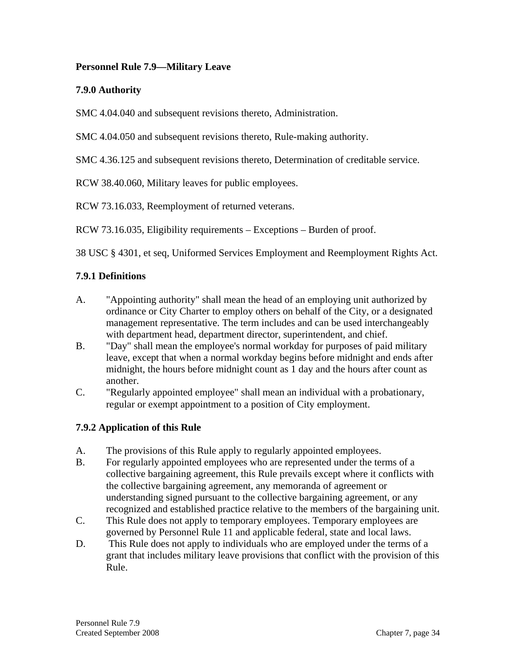#### **Personnel Rule 7.9—Military Leave**

### **7.9.0 Authority**

SMC 4.04.040 and subsequent revisions thereto, Administration.

SMC 4.04.050 and subsequent revisions thereto, Rule-making authority.

SMC 4.36.125 and subsequent revisions thereto, Determination of creditable service.

RCW 38.40.060, Military leaves for public employees.

RCW 73.16.033, Reemployment of returned veterans.

RCW 73.16.035, Eligibility requirements – Exceptions – Burden of proof.

38 USC § 4301, et seq, Uniformed Services Employment and Reemployment Rights Act.

# **7.9.1 Definitions**

- A. "Appointing authority" shall mean the head of an employing unit authorized by ordinance or City Charter to employ others on behalf of the City, or a designated management representative. The term includes and can be used interchangeably with department head, department director, superintendent, and chief.
- B. "Day" shall mean the employee's normal workday for purposes of paid military leave, except that when a normal workday begins before midnight and ends after midnight, the hours before midnight count as 1 day and the hours after count as another.
- C. "Regularly appointed employee" shall mean an individual with a probationary, regular or exempt appointment to a position of City employment.

# **7.9.2 Application of this Rule**

- A. The provisions of this Rule apply to regularly appointed employees.
- B. For regularly appointed employees who are represented under the terms of a collective bargaining agreement, this Rule prevails except where it conflicts with the collective bargaining agreement, any memoranda of agreement or understanding signed pursuant to the collective bargaining agreement, or any recognized and established practice relative to the members of the bargaining unit.
- C. This Rule does not apply to temporary employees. Temporary employees are governed by Personnel Rule 11 and applicable federal, state and local laws.
- D. This Rule does not apply to individuals who are employed under the terms of a grant that includes military leave provisions that conflict with the provision of this Rule.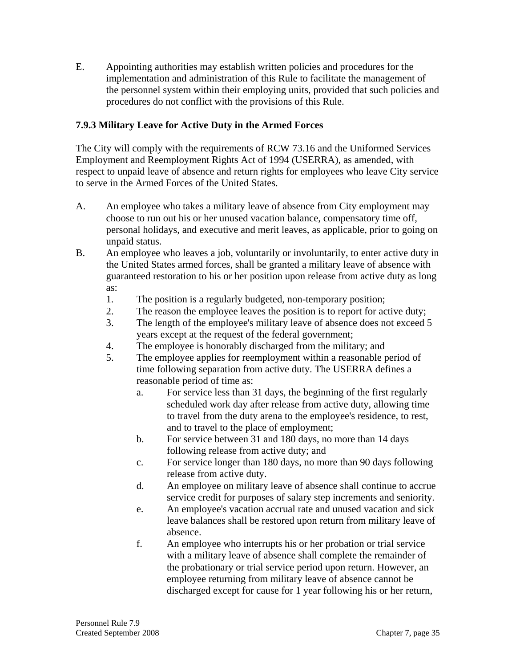E. Appointing authorities may establish written policies and procedures for the implementation and administration of this Rule to facilitate the management of the personnel system within their employing units, provided that such policies and procedures do not conflict with the provisions of this Rule.

### **7.9.3 Military Leave for Active Duty in the Armed Forces**

The City will comply with the requirements of RCW 73.16 and the Uniformed Services Employment and Reemployment Rights Act of 1994 (USERRA), as amended, with respect to unpaid leave of absence and return rights for employees who leave City service to serve in the Armed Forces of the United States.

- A. An employee who takes a military leave of absence from City employment may choose to run out his or her unused vacation balance, compensatory time off, personal holidays, and executive and merit leaves, as applicable, prior to going on unpaid status.
- B. An employee who leaves a job, voluntarily or involuntarily, to enter active duty in the United States armed forces, shall be granted a military leave of absence with guaranteed restoration to his or her position upon release from active duty as long as:
	- 1. The position is a regularly budgeted, non-temporary position;
	- 2. The reason the employee leaves the position is to report for active duty;
	- 3. The length of the employee's military leave of absence does not exceed 5 years except at the request of the federal government;
	- 4. The employee is honorably discharged from the military; and
	- 5. The employee applies for reemployment within a reasonable period of time following separation from active duty. The USERRA defines a reasonable period of time as:
		- a. For service less than 31 days, the beginning of the first regularly scheduled work day after release from active duty, allowing time to travel from the duty arena to the employee's residence, to rest, and to travel to the place of employment;
		- b. For service between 31 and 180 days, no more than 14 days following release from active duty; and
		- c. For service longer than 180 days, no more than 90 days following release from active duty.
		- d. An employee on military leave of absence shall continue to accrue service credit for purposes of salary step increments and seniority.
		- e. An employee's vacation accrual rate and unused vacation and sick leave balances shall be restored upon return from military leave of absence.
		- f. An employee who interrupts his or her probation or trial service with a military leave of absence shall complete the remainder of the probationary or trial service period upon return. However, an employee returning from military leave of absence cannot be discharged except for cause for 1 year following his or her return,